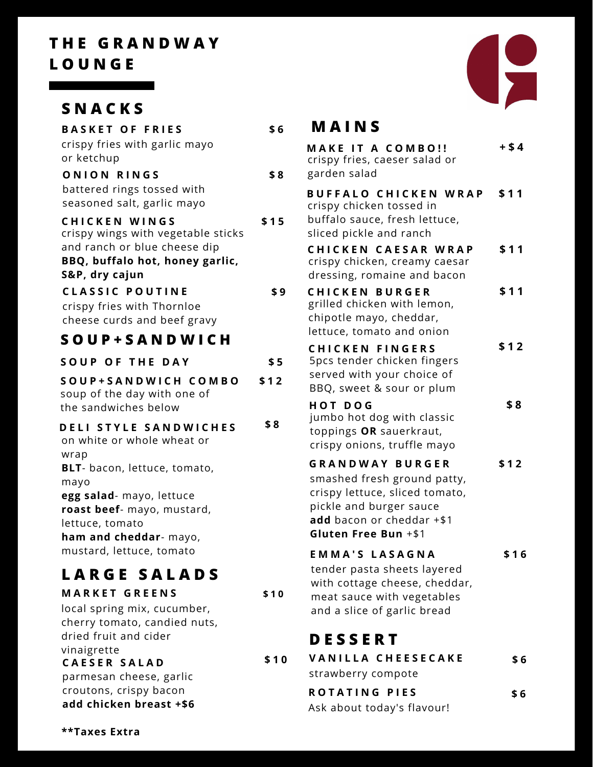# **T H E G R A N D W A Y L O U N G E**

# **S N A C K S**

| <b>BASKET OF FRIES</b>                                             | \$6  | I                       |
|--------------------------------------------------------------------|------|-------------------------|
| crispy fries with garlic mayo<br>or ketchup                        |      | M<br>CI                 |
| ONION RINGS                                                        | \$8  | g                       |
| battered rings tossed with<br>seasoned salt, garlic mayo           |      | В<br>$\overline{C}$     |
| <b>CHICKEN WINGS</b>                                               | \$15 | b                       |
| crispy wings with vegetable sticks<br>and ranch or blue cheese dip |      | sl                      |
| BBQ, buffalo hot, honey garlic,                                    |      | C<br>$\mathsf{C}$       |
| S&P, dry cajun                                                     |      | d                       |
| <b>CLASSIC POUTINE</b>                                             | \$9  | C                       |
| crispy fries with Thornloe                                         |      | g<br>$\mathsf{C}$       |
| cheese curds and beef gravy                                        |      | ١e                      |
| SOUP+SANDWICH                                                      |      | C                       |
| <b>SOUP OF THE DAY</b>                                             | \$5  | 5                       |
| SOUP+SANDWICH COMBO<br>soup of the day with one of                 | \$12 | S<br>B                  |
| the sandwiches below                                               |      | Н                       |
| DELI STYLE SANDWICHES<br>on white or whole wheat or                | \$8  | j١<br>t<br>$\mathsf{C}$ |
| wrap                                                               |      | G                       |
| BLT- bacon, lettuce, tomato,<br>mayo                               |      | S                       |
| egg salad- mayo, lettuce                                           |      | C                       |
| roast beef- mayo, mustard,                                         |      | р                       |
| lettuce, tomato                                                    |      | а                       |
| ham and cheddar- mayo,                                             |      | G                       |
| mustard, lettuce, tomato                                           |      | E                       |
| <b>LARGE SALADS</b>                                                |      | t<br>٧                  |
| <b>MARKET GREENS</b>                                               | \$10 | r                       |
| local spring mix, cucumber,                                        |      | а                       |
| cherry tomato, candied nuts,<br>dried fruit and cider              |      |                         |
| vinaigrette                                                        |      | I                       |
| <b>CAESER SALAD</b>                                                | \$10 |                         |
| parmesan cheese, garlic                                            |      | S.                      |



### **M A I N S**

| <b>MAKE IT A COMBO!!</b><br>crispy fries, caeser salad or<br>garden salad                                                                                               | $+ $4$ |
|-------------------------------------------------------------------------------------------------------------------------------------------------------------------------|--------|
| <b>BUFFALO CHICKEN WRAP</b><br>crispy chicken tossed in<br>buffalo sauce, fresh lettuce,<br>sliced pickle and ranch                                                     | \$11   |
| CHICKEN CAESAR WRAP<br>crispy chicken, creamy caesar<br>dressing, romaine and bacon                                                                                     | \$11   |
| <b>CHICKEN BURGER</b><br>grilled chicken with lemon,<br>chipotle mayo, cheddar,<br>lettuce, tomato and onion                                                            | \$11   |
| <b>CHICKEN FINGERS</b><br>5pcs tender chicken fingers<br>served with your choice of<br>BBQ, sweet & sour or plum                                                        | \$12   |
| <b>HOT DOG</b><br>jumbo hot dog with classic<br>toppings OR sauerkraut,<br>crispy onions, truffle mayo                                                                  | \$8    |
| <b>GRANDWAY BURGER</b><br>smashed fresh ground patty,<br>crispy lettuce, sliced tomato,<br>pickle and burger sauce<br>add bacon or cheddar +\$1<br>Gluten Free Bun +\$1 | \$12   |
| <b>EMMA'S LASAGNA</b><br>tender pasta sheets layered<br>with cottage cheese, cheddar,<br>meat sauce with vegetables<br>and a slice of garlic bread                      | \$16   |
| <b>DESSERT</b>                                                                                                                                                          |        |
| <b>VANILLA CHEESECAKE</b>                                                                                                                                               | \$6    |
| strawberry compote<br><b>ROTATING PIES</b>                                                                                                                              |        |
| Ask about today's flavour!                                                                                                                                              | \$6    |